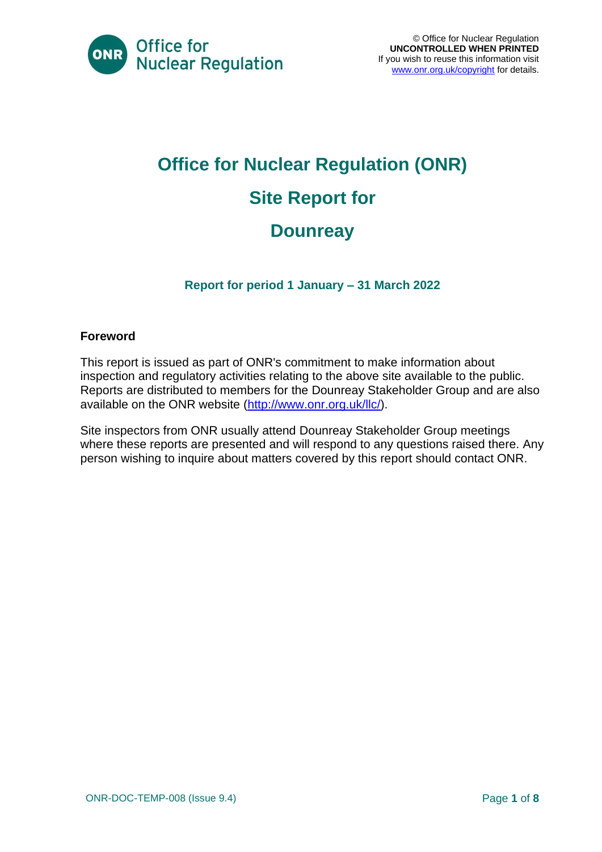

# **Office for Nuclear Regulation (ONR) Site Report for Dounreay**

**Report for period 1 January – 31 March 2022**

#### **Foreword**

This report is issued as part of ONR's commitment to make information about inspection and regulatory activities relating to the above site available to the public. Reports are distributed to members for the Dounreay Stakeholder Group and are also available on the ONR website [\(http://www.onr.org.uk/llc/\)](http://www.onr.org.uk/llc/).

Site inspectors from ONR usually attend Dounreay Stakeholder Group meetings where these reports are presented and will respond to any questions raised there. Any person wishing to inquire about matters covered by this report should contact ONR.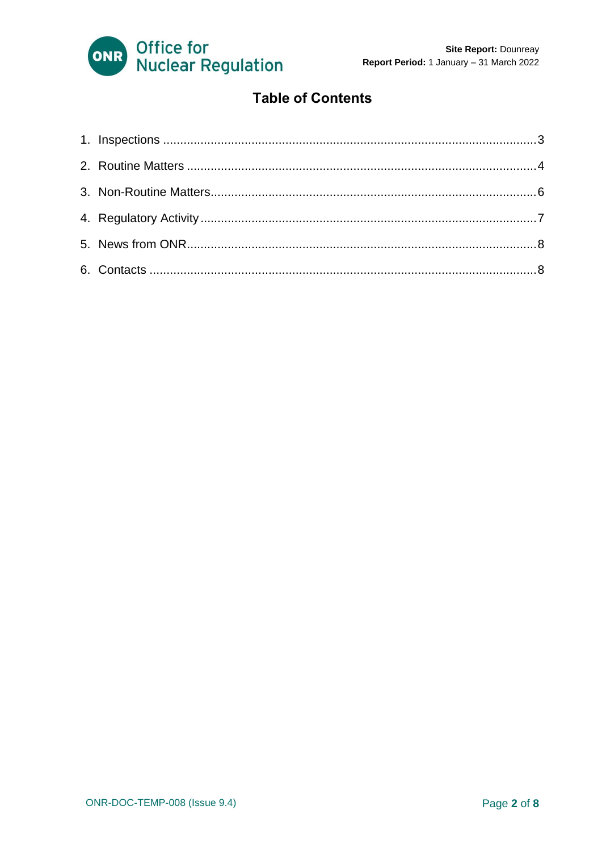

#### **Table of Contents**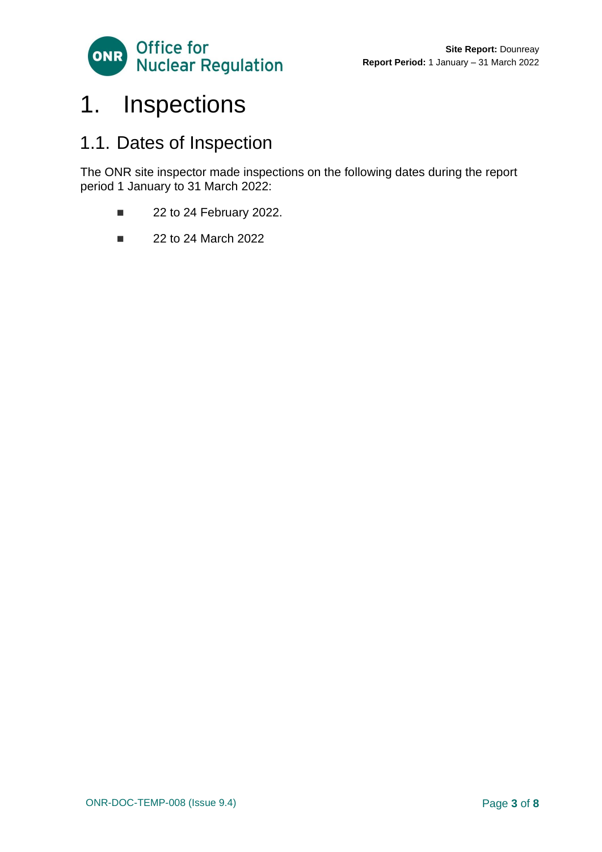

## <span id="page-2-0"></span>1. Inspections

### 1.1. Dates of Inspection

The ONR site inspector made inspections on the following dates during the report period 1 January to 31 March 2022:

- 22 to 24 February 2022.
- 22 to 24 March 2022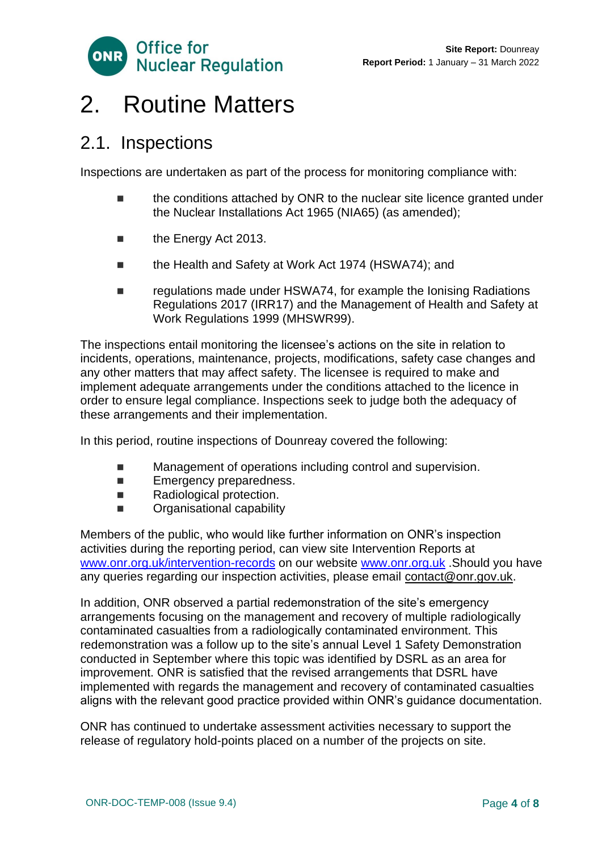

### <span id="page-3-0"></span>2. Routine Matters

### 2.1. Inspections

Inspections are undertaken as part of the process for monitoring compliance with:

- the conditions attached by ONR to the nuclear site licence granted under the Nuclear Installations Act 1965 (NIA65) (as amended);
- the Energy Act 2013.
- the Health and Safety at Work Act 1974 (HSWA74); and
- regulations made under HSWA74, for example the Ionising Radiations Regulations 2017 (IRR17) and the Management of Health and Safety at Work Regulations 1999 (MHSWR99).

The inspections entail monitoring the licensee's actions on the site in relation to incidents, operations, maintenance, projects, modifications, safety case changes and any other matters that may affect safety. The licensee is required to make and implement adequate arrangements under the conditions attached to the licence in order to ensure legal compliance. Inspections seek to judge both the adequacy of these arrangements and their implementation.

In this period, routine inspections of Dounreay covered the following:

- Management of operations including control and supervision.
- Emergency preparedness.
- Radiological protection.
- Organisational capability

Members of the public, who would like further information on ONR's inspection activities during the reporting period, can view site Intervention Reports at [www.onr.org.uk/intervention-records](http://www.onr.org.uk./intervention-records) on our website [www.onr.org.uk](http://www.onr.org.uk/) .Should you have any queries regarding our inspection activities, please email [contact@onr.gov.uk.](mailto:contact@onr.gov.uk)

In addition, ONR observed a partial redemonstration of the site's emergency arrangements focusing on the management and recovery of multiple radiologically contaminated casualties from a radiologically contaminated environment. This redemonstration was a follow up to the site's annual Level 1 Safety Demonstration conducted in September where this topic was identified by DSRL as an area for improvement. ONR is satisfied that the revised arrangements that DSRL have implemented with regards the management and recovery of contaminated casualties aligns with the relevant good practice provided within ONR's guidance documentation.

ONR has continued to undertake assessment activities necessary to support the release of regulatory hold-points placed on a number of the projects on site.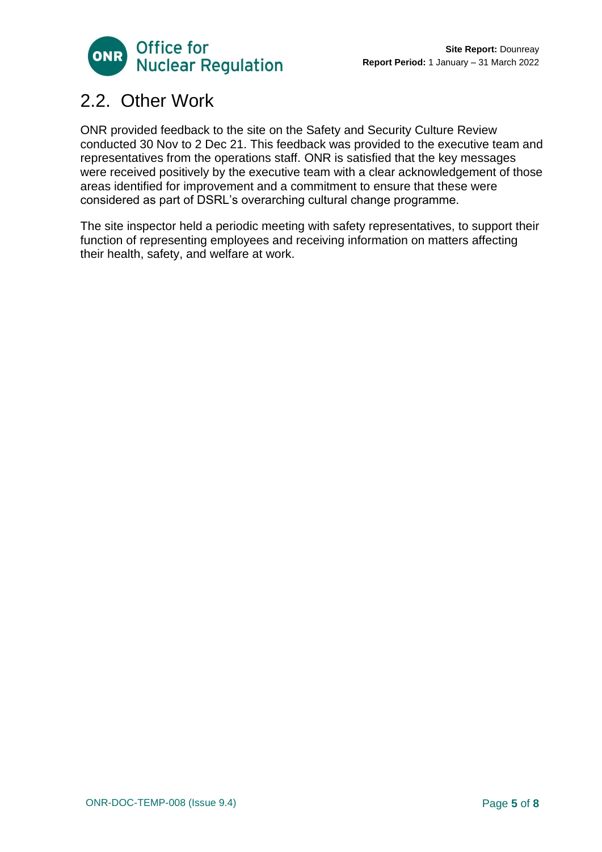

### 2.2. Other Work

ONR provided feedback to the site on the Safety and Security Culture Review conducted 30 Nov to 2 Dec 21. This feedback was provided to the executive team and representatives from the operations staff. ONR is satisfied that the key messages were received positively by the executive team with a clear acknowledgement of those areas identified for improvement and a commitment to ensure that these were considered as part of DSRL's overarching cultural change programme.

The site inspector held a periodic meeting with safety representatives, to support their function of representing employees and receiving information on matters affecting their health, safety, and welfare at work.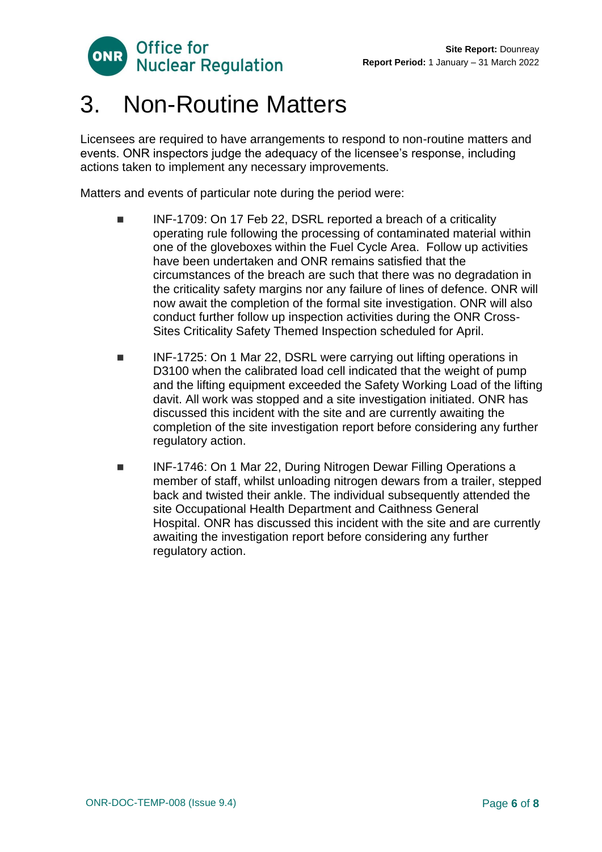

### <span id="page-5-0"></span>3. Non-Routine Matters

Licensees are required to have arrangements to respond to non-routine matters and events. ONR inspectors judge the adequacy of the licensee's response, including actions taken to implement any necessary improvements.

Matters and events of particular note during the period were:

- ◼ INF-1709: On 17 Feb 22, DSRL reported a breach of a criticality operating rule following the processing of contaminated material within one of the gloveboxes within the Fuel Cycle Area. Follow up activities have been undertaken and ONR remains satisfied that the circumstances of the breach are such that there was no degradation in the criticality safety margins nor any failure of lines of defence. ONR will now await the completion of the formal site investigation. ONR will also conduct further follow up inspection activities during the ONR Cross-Sites Criticality Safety Themed Inspection scheduled for April.
- INF-1725: On 1 Mar 22, DSRL were carrying out lifting operations in D3100 when the calibrated load cell indicated that the weight of pump and the lifting equipment exceeded the Safety Working Load of the lifting davit. All work was stopped and a site investigation initiated. ONR has discussed this incident with the site and are currently awaiting the completion of the site investigation report before considering any further regulatory action.
- INF-1746: On 1 Mar 22, During Nitrogen Dewar Filling Operations a member of staff, whilst unloading nitrogen dewars from a trailer, stepped back and twisted their ankle. The individual subsequently attended the site Occupational Health Department and Caithness General Hospital. ONR has discussed this incident with the site and are currently awaiting the investigation report before considering any further regulatory action.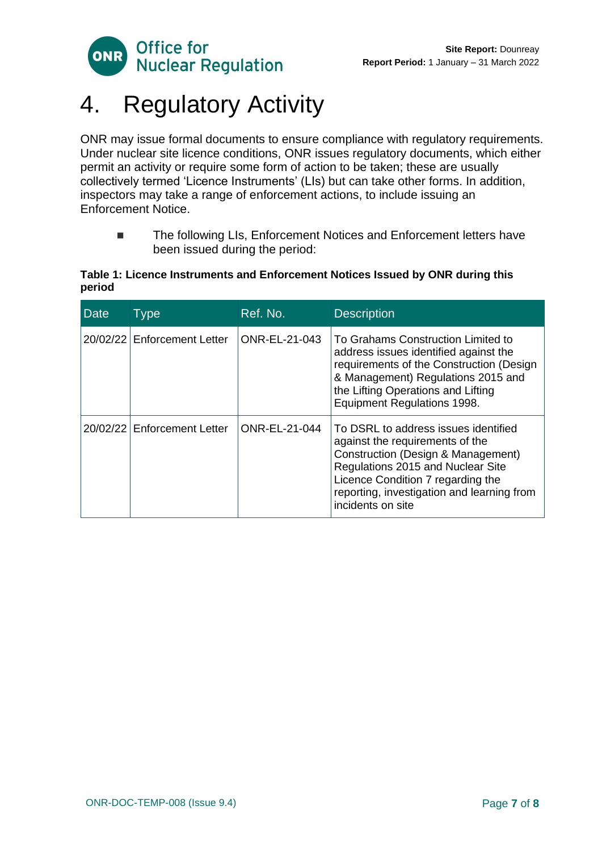

## <span id="page-6-0"></span>4. Regulatory Activity

ONR may issue formal documents to ensure compliance with regulatory requirements. Under nuclear site licence conditions, ONR issues regulatory documents, which either permit an activity or require some form of action to be taken; these are usually collectively termed 'Licence Instruments' (LIs) but can take other forms. In addition, inspectors may take a range of enforcement actions, to include issuing an Enforcement Notice.

■ The following LIs, Enforcement Notices and Enforcement letters have been issued during the period:

#### **Table 1: Licence Instruments and Enforcement Notices Issued by ONR during this period**

| <b>Date</b> | Type                        | Ref. No.             | <b>Description</b>                                                                                                                                                                                                                                         |
|-------------|-----------------------------|----------------------|------------------------------------------------------------------------------------------------------------------------------------------------------------------------------------------------------------------------------------------------------------|
|             | 20/02/22 Enforcement Letter | ONR-EL-21-043        | To Grahams Construction Limited to<br>address issues identified against the<br>requirements of the Construction (Design<br>& Management) Regulations 2015 and<br>the Lifting Operations and Lifting<br>Equipment Regulations 1998.                         |
|             | 20/02/22 Enforcement Letter | <b>ONR-EL-21-044</b> | To DSRL to address issues identified<br>against the requirements of the<br>Construction (Design & Management)<br>Regulations 2015 and Nuclear Site<br>Licence Condition 7 regarding the<br>reporting, investigation and learning from<br>incidents on site |